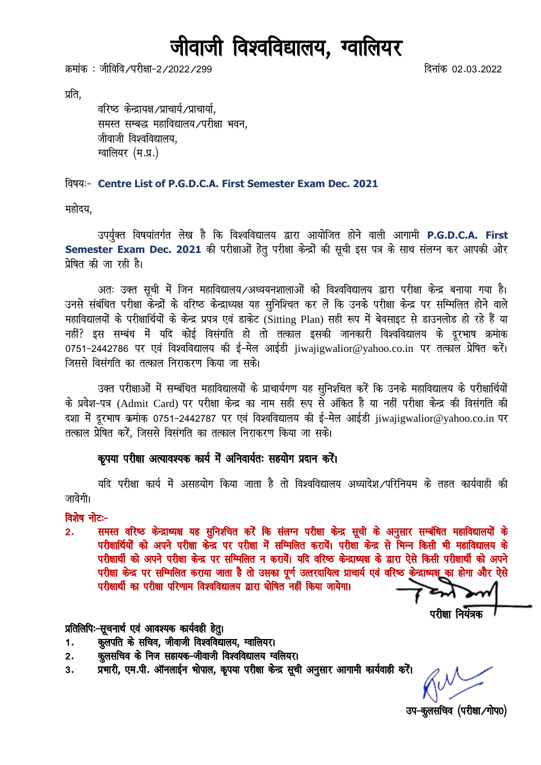# जीवाजी विश्वविद्यालय, ग्वालियर

क्रमांक : जीविवि ∕परीक्षा−2 ⁄ 2022 ⁄ 299 facebook ad ad also the control of the control of the control of the c

प्रति.

वरिष्ठ केन्द्रायक्ष /प्राचार्य, याचार्या, समस्त सम्बद्ध महाविद्यालय/परीक्षा भवन, जीवाजी विश्वविद्यालय. ग्वालियर (म.प्र.)

#### fo"k;%& **Centre List of P.G.D.C.A. First Semester Exam Dec. 2021**

महोदय.

उपर्युक्त विषयांतर्गत लेख है कि विश्वविद्यालय द्वारा आयोजित होने वाली आगामी P.G.D.C.A. First Semester Exam Dec. 2021 की परीक्षाओं हेतू परीक्षा केन्द्रों की सूची इस पत्र के साथ संलग्न कर आपकी ओर प्रेषित की जा रही है।

अतः उक्त सूची में जिन महाविद्यालय ⁄अध्ययनशालाओं को विश्वविद्यालय द्वारा परीक्षा केन्द्र बनाया गया है। उनसे संबंधित परीक्षा केन्द्रों के वरिष्ठ केन्द्राध्यक्ष यह सुनिश्चित कर लें कि उनके परीक्षा केन्द्र पर सम्मिलित होने वाले महाविद्यालयों के परीक्षार्थियों के केन्द्र प्रपत्र एवं डाकेट (Sitting Plan) सही रूप में बेवसाइट से डाउनलोड हो रहे हैं या नहीं? इस सम्बंध में यदि कोई विसंगति हो तो तत्काल इसकी जानकारी विश्वविद्यालय के दुरभाष क्रमांक 0751-2442786 पर एवं विश्वविद्यालय की ई-मेल आईडी iiwaiigwalior@yahoo.co.in पर तत्काल प्रेषित करें। जिससे विसंगति का तत्काल निराकरण किया जा सके।

उक्त परीक्षाओं में सम्बंधित महाविद्यालयों के प्राचार्यगण यह सुनिश्चित करें कि उनके महाविद्यालय के परीक्षार्थियों के प्रवेश-पत्र (Admit Card) पर परीक्षा केन्द्र का नाम सही रूप से अंकित है या नहीं परीक्षा केन्द्र की विसंगति की दशा में दूरभाष क्रमांक 0751-2442787 पर एवं विश्वविद्यालय की ई-मेल आईडी jiwajigwalior@yahoo.co.in पर तत्काल प्रेषित करें. जिससे विसंगति का तत्काल निराकरण किया जा सके।

#### कुपया परीक्षा अत्यावश्यक कार्य में अनिवार्यतः सहयोग प्रदान करें।

यदि परीक्षा कार्य में असहयोग किया जाता है तो विश्वविद्यालय अध्यादेश /परिनियम के तहत कार्यवाही की जावेगी।

विशेष नोट:-

2. समस्त वरिष्ठ केन्द्राध्यक्ष यह सुनिशचित करें कि संलग्न परीक्षा केन्द्र सूची के अनुसार सम्बंधित महाविद्यालयों के परीक्षार्थियों को अपने परीक्षा केन्द्र पर परीक्षा में सम्मिलित करायें। परीक्षा केन्द्र से भिन्न किसी भी महाविद्यालय के परीक्षार्थी को अपने परीक्षा केन्द्र पर सम्मिलित न करायें। यदि वरिष्ठ केन्द्राध्यक्ष के द्वारा ऐसे किसी परीक्षार्थी को अपने परीक्षा केन्द्र पर सम्मिलित कराया जाता है तो उसका पूर्ण उत्तरदायित्व प्राचार्य एवं वरिष्ठ केन्द्राध्यक्ष का होगा और ऐसे परीक्षार्थी का परीक्षा परिणाम विश्वविद्यालय द्वारा घोषित नहीं किया जायेगा।

 $\alpha$  if  $\alpha$  if  $\alpha$  if  $\alpha$  if  $\alpha$  if  $\alpha$  if  $\alpha$  if  $\alpha$  if  $\alpha$  if  $\alpha$  if  $\alpha$  if  $\alpha$  if  $\alpha$  if  $\alpha$  if  $\alpha$  if  $\alpha$  if  $\alpha$  if  $\alpha$  if  $\alpha$  if  $\alpha$  if  $\alpha$  if  $\alpha$  if  $\alpha$  if  $\alpha$  if  $\alpha$  if  $\alpha$  if  $\alpha$  if  $\alpha$ 

#### प्रतिलिपिः-सूचनार्थ एवं आवश्यक कार्यवही हेतु।

- 1. कुलपति के सचिव, जीवाजी विश्वविद्यालय, ग्वालियर।
- 2. कुलसचिव के निज सहायक-जीवाजी विश्वविद्यालय ग्वलियर।
- 3. प्रभारी, एम.पी. ऑनलाईन भोपाल, कृपया परीक्षा केन्द्र सूची अनुसार आगामी कार्यवाही करें।

उप-कुलसचिव (परीक्षा/गोप0)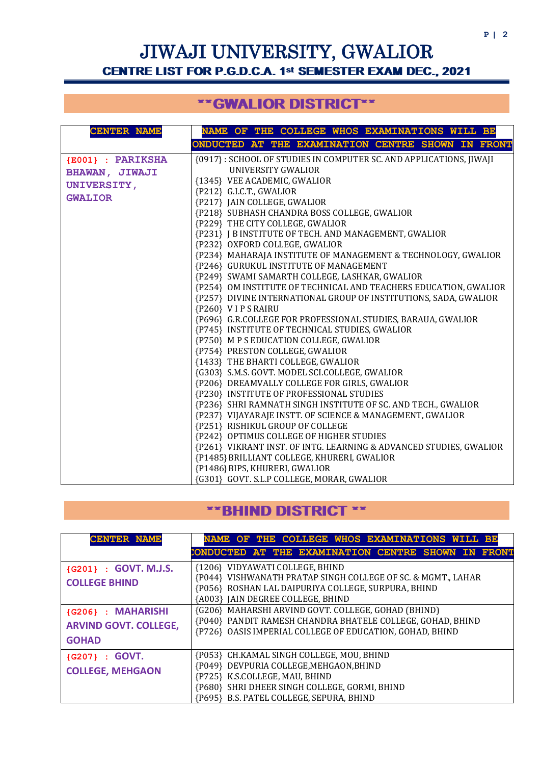# JIWAJI UNIVERSITY, GWALIOR CENTRE LIST FOR P.G.D.C.A. 1st SEMESTER EXAM DEC., 2021

### \*\*GWALIOR DISTRICT\*\*

| <b>CENTER NAME</b>    | NAME OF THE COLLEGE WHOS EXAMINATIONS WILL BE                      |  |  |  |  |  |  |  |  |  |
|-----------------------|--------------------------------------------------------------------|--|--|--|--|--|--|--|--|--|
|                       | ONDUCTED AT THE EXAMINATION CENTRE SHOWN IN FRONT                  |  |  |  |  |  |  |  |  |  |
| {E001} : PARIKSHA     | {0917}: SCHOOL OF STUDIES IN COMPUTER SC. AND APPLICATIONS, JIWAJI |  |  |  |  |  |  |  |  |  |
| <b>BHAWAN, JIWAJI</b> | UNIVERSITY GWALIOR                                                 |  |  |  |  |  |  |  |  |  |
| <b>UNIVERSITY,</b>    | {1345} VEE ACADEMIC, GWALIOR                                       |  |  |  |  |  |  |  |  |  |
| <b>GWALIOR</b>        | {P212} G.I.C.T., GWALIOR                                           |  |  |  |  |  |  |  |  |  |
|                       | {P217} JAIN COLLEGE, GWALIOR                                       |  |  |  |  |  |  |  |  |  |
|                       | {P218} SUBHASH CHANDRA BOSS COLLEGE, GWALIOR                       |  |  |  |  |  |  |  |  |  |
|                       | {P229} THE CITY COLLEGE, GWALIOR                                   |  |  |  |  |  |  |  |  |  |
|                       | {P231} J B INSTITUTE OF TECH. AND MANAGEMENT, GWALIOR              |  |  |  |  |  |  |  |  |  |
|                       | {P232} OXFORD COLLEGE, GWALIOR                                     |  |  |  |  |  |  |  |  |  |
|                       | {P234} MAHARAJA INSTITUTE OF MANAGEMENT & TECHNOLOGY, GWALIOR      |  |  |  |  |  |  |  |  |  |
|                       | {P246} GURUKUL INSTITUTE OF MANAGEMENT                             |  |  |  |  |  |  |  |  |  |
|                       | {P249} SWAMI SAMARTH COLLEGE, LASHKAR, GWALIOR                     |  |  |  |  |  |  |  |  |  |
|                       | {P254} OM INSTITUTE OF TECHNICAL AND TEACHERS EDUCATION, GWALIOR   |  |  |  |  |  |  |  |  |  |
|                       | {P257} DIVINE INTERNATIONAL GROUP OF INSTITUTIONS, SADA, GWALIOR   |  |  |  |  |  |  |  |  |  |
|                       | {P260} VIPS RAIRU                                                  |  |  |  |  |  |  |  |  |  |
|                       | {P696} G.R.COLLEGE FOR PROFESSIONAL STUDIES, BARAUA, GWALIOR       |  |  |  |  |  |  |  |  |  |
|                       | {P745} INSTITUTE OF TECHNICAL STUDIES, GWALIOR                     |  |  |  |  |  |  |  |  |  |
|                       | {P750} M P S EDUCATION COLLEGE, GWALIOR                            |  |  |  |  |  |  |  |  |  |
|                       | {P754} PRESTON COLLEGE, GWALIOR                                    |  |  |  |  |  |  |  |  |  |
|                       | {1433} THE BHARTI COLLEGE, GWALIOR                                 |  |  |  |  |  |  |  |  |  |
|                       | {G303} S.M.S. GOVT. MODEL SCI.COLLEGE, GWALIOR                     |  |  |  |  |  |  |  |  |  |
|                       | {P206} DREAMVALLY COLLEGE FOR GIRLS, GWALIOR                       |  |  |  |  |  |  |  |  |  |
|                       | {P230} INSTITUTE OF PROFESSIONAL STUDIES                           |  |  |  |  |  |  |  |  |  |
|                       | {P236} SHRI RAMNATH SINGH INSTITUTE OF SC. AND TECH., GWALIOR      |  |  |  |  |  |  |  |  |  |
|                       | {P237} VIJAYARAJE INSTT. OF SCIENCE & MANAGEMENT, GWALIOR          |  |  |  |  |  |  |  |  |  |
|                       | {P251} RISHIKUL GROUP OF COLLEGE                                   |  |  |  |  |  |  |  |  |  |
|                       | {P242} OPTIMUS COLLEGE OF HIGHER STUDIES                           |  |  |  |  |  |  |  |  |  |
|                       | {P261} VIKRANT INST. OF INTG. LEARNING & ADVANCED STUDIES, GWALIOR |  |  |  |  |  |  |  |  |  |
|                       | {P1485} BRILLIANT COLLEGE, KHURERI, GWALIOR                        |  |  |  |  |  |  |  |  |  |
|                       | {P1486} BIPS, KHURERI, GWALIOR                                     |  |  |  |  |  |  |  |  |  |
|                       | {G301} GOVT. S.L.P COLLEGE, MORAR, GWALIOR                         |  |  |  |  |  |  |  |  |  |

#### \*\*BHIND DISTRICT \*\*

| <b>CENTER NAME</b>                                                 | NAME OF THE COLLEGE WHOS EXAMINATIONS WILL BE                                                                                                                                                                       |
|--------------------------------------------------------------------|---------------------------------------------------------------------------------------------------------------------------------------------------------------------------------------------------------------------|
|                                                                    | CONDUCTED AT THE EXAMINATION CENTRE SHOWN IN FRONT                                                                                                                                                                  |
| {G201} : GOVT. M.J.S.<br><b>COLLEGE BHIND</b>                      | {1206} VIDYAWATI COLLEGE, BHIND<br>{P044} VISHWANATH PRATAP SINGH COLLEGE OF SC. & MGMT., LAHAR<br>{P056} ROSHAN LAL DAIPURIYA COLLEGE, SURPURA, BHIND<br>{A003} JAIN DEGREE COLLEGE, BHIND                         |
| {G206} : MAHARISHI<br><b>ARVIND GOVT. COLLEGE,</b><br><b>GOHAD</b> | {G206} MAHARSHI ARVIND GOVT. COLLEGE, GOHAD (BHIND)<br>{P040} PANDIT RAMESH CHANDRA BHATELE COLLEGE, GOHAD, BHIND<br>{P726} OASIS IMPERIAL COLLEGE OF EDUCATION, GOHAD, BHIND                                       |
| {G207} : GOVT.<br><b>COLLEGE, MEHGAON</b>                          | {P053} CH.KAMAL SINGH COLLEGE, MOU, BHIND<br>{P049} DEVPURIA COLLEGE, MEHGAON, BHIND<br>{P725} K.S.COLLEGE, MAU, BHIND<br>{P680} SHRI DHEER SINGH COLLEGE, GORMI, BHIND<br>{P695} B.S. PATEL COLLEGE, SEPURA, BHIND |

I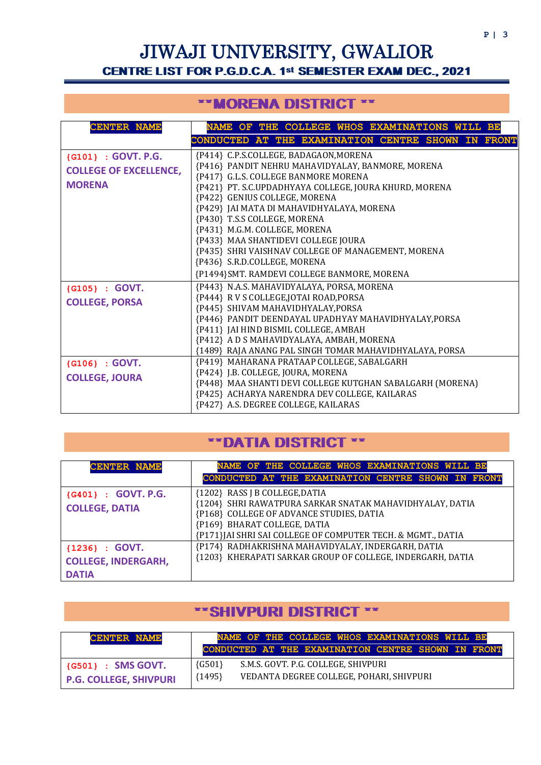# JIWAJI UNIVERSITY, GWALIOR CENTRE LIST FOR P.G.D.C.A. 1st SEMESTER EXAM DEC., 2021

#### \*\*MORENA DISTRICT \*\*

| <b>CENTER NAME</b>            | NAME OF THE COLLEGE WHOS EXAMINATIONS WILL BE                                                  |
|-------------------------------|------------------------------------------------------------------------------------------------|
|                               | CONDUCTED AT THE EXAMINATION CENTRE SHOWN IN FRONT                                             |
| {G101} : GOVT. P.G.           | {P414} C.P.S.COLLEGE, BADAGAON, MORENA                                                         |
| <b>COLLEGE OF EXCELLENCE,</b> | {P416} PANDIT NEHRU MAHAVIDYALAY, BANMORE, MORENA<br>{P417} G.L.S. COLLEGE BANMORE MORENA      |
| <b>MORENA</b>                 | {P421} PT. S.C.UPDADHYAYA COLLEGE, JOURA KHURD, MORENA                                         |
|                               | {P422} GENIUS COLLEGE, MORENA                                                                  |
|                               | {P429} JAI MATA DI MAHAVIDHYALAYA, MORENA<br>{P430} T.S.S COLLEGE, MORENA                      |
|                               | {P431} M.G.M. COLLEGE, MORENA                                                                  |
|                               | {P433} MAA SHANTIDEVI COLLEGE JOURA                                                            |
|                               | {P435} SHRI VAISHNAV COLLEGE OF MANAGEMENT, MORENA<br>{P436} S.R.D.COLLEGE, MORENA             |
|                               | {P1494}SMT. RAMDEVI COLLEGE BANMORE, MORENA                                                    |
| {G105} : GOVT.                | {P443} N.A.S. MAHAVIDYALAYA, PORSA, MORENA                                                     |
| <b>COLLEGE, PORSA</b>         | {P444} R V S COLLEGE, JOTAI ROAD, PORSA                                                        |
|                               | {P445} SHIVAM MAHAVIDHYALAY, PORSA                                                             |
|                               | {P446} PANDIT DEENDAYAL UPADHYAY MAHAVIDHYALAY, PORSA<br>{P411} JAI HIND BISMIL COLLEGE, AMBAH |
|                               | {P412} A D S MAHAVIDYALAYA, AMBAH, MORENA                                                      |
|                               | {1489} RAJA ANANG PAL SINGH TOMAR MAHAVIDHYALAYA, PORSA                                        |
| {G106} : GOVT.                | {P419} MAHARANA PRATAAP COLLEGE, SABALGARH<br>{P424} J.B. COLLEGE, JOURA, MORENA               |
| <b>COLLEGE, JOURA</b>         | {P448} MAA SHANTI DEVI COLLEGE KUTGHAN SABALGARH (MORENA)                                      |
|                               | {P425} ACHARYA NARENDRA DEV COLLEGE, KAILARAS                                                  |
|                               | {P427} A.S. DEGREE COLLEGE, KAILARAS                                                           |

### \*\*DATIA DISTRICT \*\*

| <b>CENTER NAME</b>                                             | NAME OF THE COLLEGE WHOS EXAMINATIONS WILL BE                                                                                                                          |
|----------------------------------------------------------------|------------------------------------------------------------------------------------------------------------------------------------------------------------------------|
|                                                                | CONDUCTED AT THE EXAMINATION CENTRE SHOWN IN FRONT                                                                                                                     |
| {G401} : GOVT. P.G.<br><b>COLLEGE, DATIA</b>                   | {1202} RASS J B COLLEGE, DATIA<br>{1204} SHRI RAWATPURA SARKAR SNATAK MAHAVIDHYALAY, DATIA<br>{P168} COLLEGE OF ADVANCE STUDIES, DATIA<br>{P169} BHARAT COLLEGE, DATIA |
|                                                                | {P171}JAI SHRI SAI COLLEGE OF COMPUTER TECH. & MGMT., DATIA                                                                                                            |
| ${1236} : GOVT.$<br><b>COLLEGE, INDERGARH,</b><br><b>DATIA</b> | {P174} RADHAKRISHNA MAHAVIDYALAY, INDERGARH, DATIA<br>{1203} KHERAPATI SARKAR GROUP OF COLLEGE, INDERGARH, DATIA                                                       |

#### \*\*SHIVPURI DISTRICT \*\*

Ξ

| <b>CENTER NAME</b>                                      | NAME OF THE COLLEGE WHOS EXAMINATIONS WILL BE<br>CONDUCTED AT THE EXAMINATION CENTRE SHOWN IN FRONT     |  |
|---------------------------------------------------------|---------------------------------------------------------------------------------------------------------|--|
| $\{G501\}$ : SMS GOVT.<br><b>P.G. COLLEGE, SHIVPURI</b> | ${G501}$<br>S.M.S. GOVT. P.G. COLLEGE, SHIVPURI<br>${1495}$<br>VEDANTA DEGREE COLLEGE, POHARI, SHIVPURI |  |